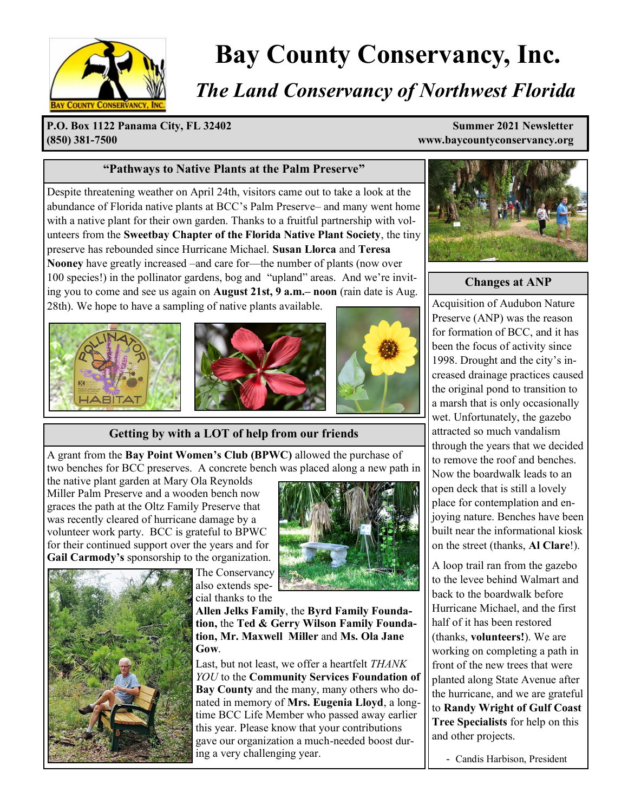

# **Bay County Conservancy, Inc.**

# *The Land Conservancy of Northwest Florida*

**P.O. Box 1122 Panama City, FL 32402 Summer 2021 Newsletter (850) 381-7500 www.baycountyconservancy.org**

#### **"Pathways to Native Plants at the Palm Preserve"**

Despite threatening weather on April 24th, visitors came out to take a look at the abundance of Florida native plants at BCC's Palm Preserve– and many went home with a native plant for their own garden. Thanks to a fruitful partnership with volunteers from the **Sweetbay Chapter of the Florida Native Plant Society**, the tiny preserve has rebounded since Hurricane Michael. **Susan Llorca** and **Teresa Nooney** have greatly increased –and care for—the number of plants (now over 100 species!) in the pollinator gardens, bog and "upland" areas. And we're inviting you to come and see us again on **August 21st, 9 a.m.– noon** (rain date is Aug. 28th). We hope to have a sampling of native plants available.







**Getting by with a LOT of help from our friends**

A grant from the **Bay Point Women's Club (BPWC)** allowed the purchase of two benches for BCC preserves. A concrete bench was placed along a new path in

the native plant garden at Mary Ola Reynolds Miller Palm Preserve and a wooden bench now graces the path at the Oltz Family Preserve that was recently cleared of hurricane damage by a volunteer work party. BCC is grateful to BPWC for their continued support over the years and for **Gail Carmody's** sponsorship to the organization.







#### **Changes at ANP**

Acquisition of Audubon Nature Preserve (ANP) was the reason for formation of BCC, and it has been the focus of activity since 1998. Drought and the city's increased drainage practices caused the original pond to transition to a marsh that is only occasionally wet. Unfortunately, the gazebo attracted so much vandalism through the years that we decided to remove the roof and benches. Now the boardwalk leads to an open deck that is still a lovely place for contemplation and enjoying nature. Benches have been built near the informational kiosk on the street (thanks, **Al Clare**!).

A loop trail ran from the gazebo to the levee behind Walmart and back to the boardwalk before Hurricane Michael, and the first half of it has been restored (thanks, **volunteers!**). We are working on completing a path in front of the new trees that were planted along State Avenue after the hurricane, and we are grateful to **Randy Wright of Gulf Coast Tree Specialists** for help on this and other projects.

- Candis Harbison, President